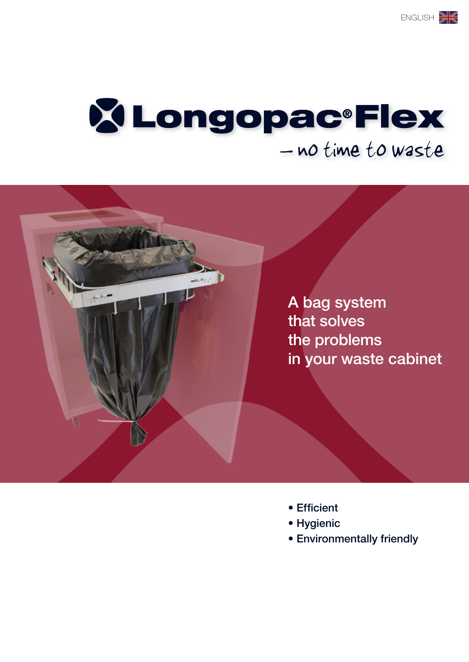# **X Longopac®Flex** - no time to waste



- Efficient
- Hygienic
- Environmentally friendly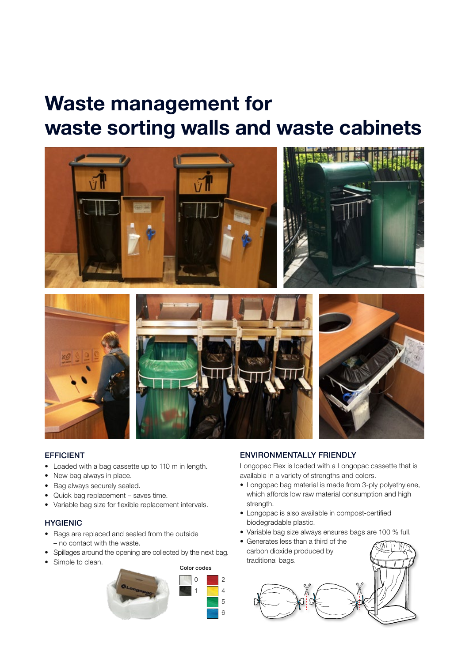## Waste management for waste sorting walls and waste cabinets



### EFFICIENT

- Loaded with a bag cassette up to 110 m in length.
- New bag always in place.
- Bag always securely sealed.
- Quick bag replacement saves time.
- Variable bag size for flexible replacement intervals.

### **HYGIENIC**

- • Bags are replaced and sealed from the outside – no contact with the waste.
- Spillages around the opening are collected by the next bag.
- Simple to clean.



### ENVIRONMENTALLY FRIENDLY

Longopac Flex is loaded with a Longopac cassette that is available in a variety of strengths and colors.

- Longopac bag material is made from 3-ply polyethylene, which affords low raw material consumption and high strength.
- Longopac is also available in compost-certified biodegradable plastic.
- Variable bag size always ensures bags are 100 % full.
- Generates less than a third of the carbon dioxide produced by traditional bags.

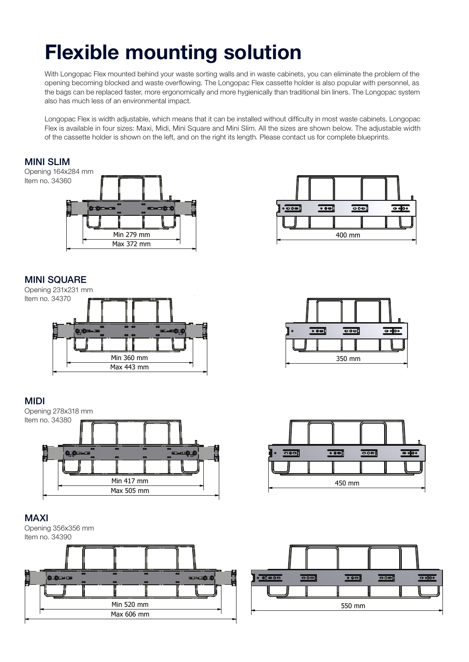## Flexible mounting solution

With Longopac Flex mounted behind your waste sorting walls and in waste cabinets, you can eliminate the problem of the opening becoming blocked and waste overflowing. The Longopac Flex cassette holder is also popular with personnel, as the bags can be replaced faster, more ergonomically and more hygienically than traditional bin liners. The Longopac system also has much less of an environmental impact.

Longopac Flex is width adjustable, which means that it can be installed without difficulty in most waste cabinets. Longopac Flex is available in four sizes: Maxi, Midi, Mini Square and Mini Slim. All the sizes are shown below. The adjustable width of the cassette holder is shown on the left, and on the right its length. Please contact us for complete blueprints.

#### **MINI SLIM** Opening 164x284 mm Item no. 34360  $\overline{\bullet}$  $\bullet \bullet \bullet$ Min 279 mm Min 279 mm 400 mm 400 mm Max 372 mm Max 372 mm **MINI SQUARE Mi**<br>Op Opening 231x231 mm Item no. 34370 Min 360 mm Min 360 mm 350 mm 350 mm Min 279 mm  $\mathbf{r}$ 400 mm 400 mm  $\overline{\phantom{a}}$   $\overline{\phantom{a}}$   $\overline{\phantom{a}}$   $\overline{\phantom{a}}$   $\overline{\phantom{a}}$  $\frac{1}{\alpha}$   $\frac{1}{\alpha}$  $\overline{\phantom{a}}$   $\overline{\phantom{a}}$   $\overline{\phantom{a}}$   $\overline{\phantom{a}}$   $\overline{\phantom{a}}$   $\overline{\phantom{a}}$   $\overline{\phantom{a}}$  $\overline{\phantom{a}}$   $\overline{\phantom{a}}$   $\overline{\phantom{a}}$  $\bullet$  $\overline{\text{cond}}$  $\overline{\phantom{a}}$



## MiDi



## MAXi

Opening 356x356 mm Item no. 34390









400 mm 400 mm 350 mm 350 mm